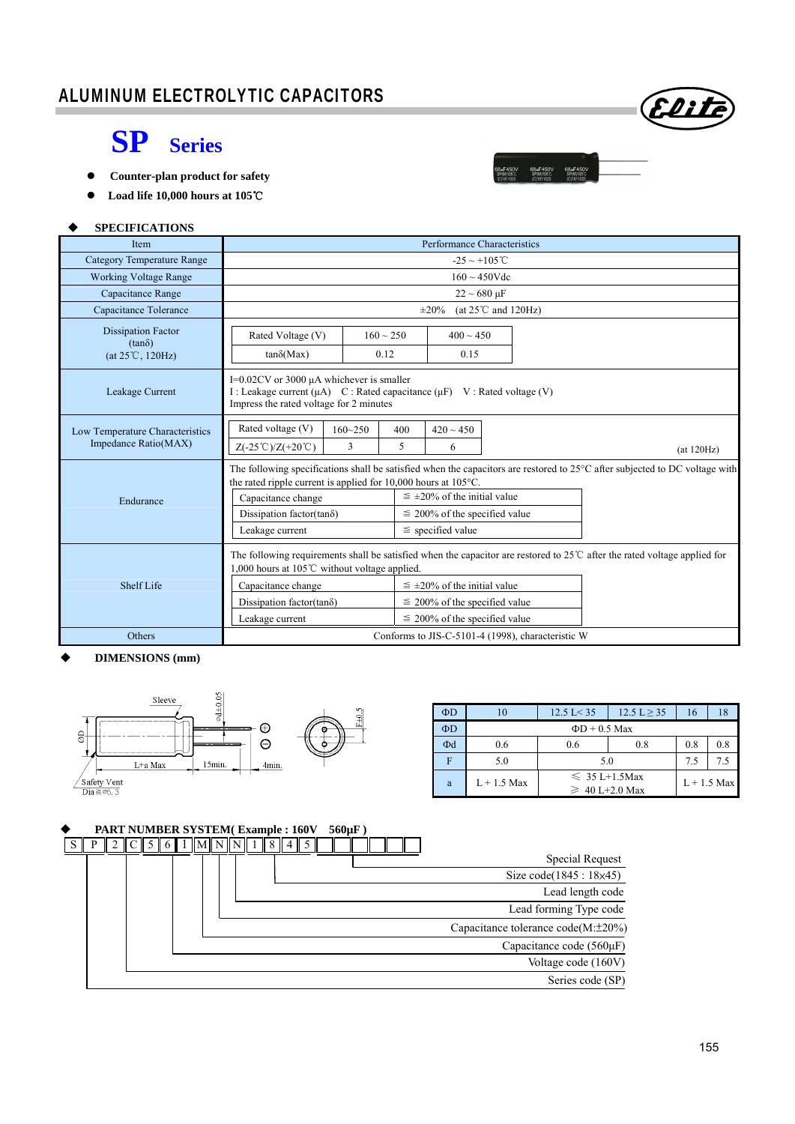## **SP Series**

- **Counter-plan product for safety**
- **Load life 10,000 hours at 105**℃

#### **SPECIFICATIONS**

| <b>Item</b>                                                             | Performance Characteristics                                                                                                                                                                                                                                                                                                                                                                              |  |  |  |  |  |
|-------------------------------------------------------------------------|----------------------------------------------------------------------------------------------------------------------------------------------------------------------------------------------------------------------------------------------------------------------------------------------------------------------------------------------------------------------------------------------------------|--|--|--|--|--|
| <b>Category Temperature Range</b>                                       | $-25 \sim +105^{\circ}$ C                                                                                                                                                                                                                                                                                                                                                                                |  |  |  |  |  |
| <b>Working Voltage Range</b>                                            | $160 \sim 450$ Vdc                                                                                                                                                                                                                                                                                                                                                                                       |  |  |  |  |  |
| Capacitance Range                                                       | $22 \sim 680 \text{ }\mu\text{F}$                                                                                                                                                                                                                                                                                                                                                                        |  |  |  |  |  |
| Capacitance Tolerance                                                   | (at $25^{\circ}$ C and $120$ Hz)<br>$\pm 20\%$                                                                                                                                                                                                                                                                                                                                                           |  |  |  |  |  |
| <b>Dissipation Factor</b><br>$(tan\delta)$<br>$(at 25^{\circ}C, 120Hz)$ | Rated Voltage (V)<br>$160 \sim 250$<br>$400 \sim 450$<br>$tan\delta(Max)$<br>0.12<br>0.15                                                                                                                                                                                                                                                                                                                |  |  |  |  |  |
| Leakage Current                                                         | $I=0.02CV$ or 3000 $\mu A$ whichever is smaller<br>I : Leakage current $(\mu A)$ C : Rated capacitance $(\mu F)$ V : Rated voltage (V)<br>Impress the rated voltage for 2 minutes                                                                                                                                                                                                                        |  |  |  |  |  |
| Low Temperature Characteristics<br>Impedance Ratio(MAX)                 | Rated voltage (V)<br>$160 - 250$<br>$420 \sim 450$<br>400<br>3<br>5<br>$Z(-25^{\circ}\text{C})/Z(+20^{\circ}\text{C})$<br>6<br>(at 120 Hz)                                                                                                                                                                                                                                                               |  |  |  |  |  |
| Endurance                                                               | The following specifications shall be satisfied when the capacitors are restored to $25^{\circ}$ C after subjected to DC voltage with<br>the rated ripple current is applied for $10,000$ hours at $105^{\circ}$ C.<br>$\leq \pm 20\%$ of the initial value<br>Capacitance change<br>Dissipation factor(tan $\delta$ )<br>$\leq$ 200% of the specified value<br>$\le$ specified value<br>Leakage current |  |  |  |  |  |
| Shelf Life                                                              | The following requirements shall be satisfied when the capacitor are restored to $25^{\circ}$ after the rated voltage applied for<br>1,000 hours at 105℃ without voltage applied.<br>$\leq \pm 20\%$ of the initial value<br>Capacitance change<br>Dissipation factor(tan $\delta$ )<br>$\leq$ 200% of the specified value<br>$\leq$ 200% of the specified value<br>Leakage current                      |  |  |  |  |  |
| Others                                                                  | Conforms to JIS-C-5101-4 (1998), characteristic W                                                                                                                                                                                                                                                                                                                                                        |  |  |  |  |  |

## **DIMENSIONS (mm)**



| ΦD                 |                    | $12.5 \text{ L} < 35$<br>$12.5 L \ge 35$ |               | 16  | 18  |  |  |
|--------------------|--------------------|------------------------------------------|---------------|-----|-----|--|--|
|                    |                    |                                          |               |     |     |  |  |
| ΦD                 | $\Phi$ D + 0.5 Max |                                          |               |     |     |  |  |
| Φd                 | 0.6                | 0.6<br>0.8                               |               | 0.8 | 0.8 |  |  |
|                    | 5.0                | 5.0                                      | 7.5           | 7.5 |     |  |  |
| $L + 1.5$ Max<br>a |                    | $\leq 35$ L+1.5Max                       | $L + 1.5$ Max |     |     |  |  |
|                    |                    | $\geq 40$ L+2.0 Max                      |               |     |     |  |  |

## **PART NUMBER SYSTEM( Example : 160V 560µF )**



Elih

68uF450V<br>SP(M)105C

68aF450V<br>SP(M)105°C